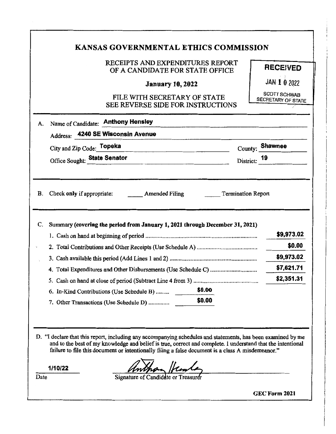|                                                                                                                                                                                                                                                                                                                                  | <b>KANSAS GOVERNMENTAL ETHICS COMMISSION</b>                                                                                                      |                                                  |  |  |  |
|----------------------------------------------------------------------------------------------------------------------------------------------------------------------------------------------------------------------------------------------------------------------------------------------------------------------------------|---------------------------------------------------------------------------------------------------------------------------------------------------|--------------------------------------------------|--|--|--|
|                                                                                                                                                                                                                                                                                                                                  | RECEIPTS AND EXPENDITURES REPORT<br>OF A CANDIDATE FOR STATE OFFICE                                                                               | <b>RECEIVED</b>                                  |  |  |  |
|                                                                                                                                                                                                                                                                                                                                  | <b>January 10, 2022</b>                                                                                                                           | JAN 1 0 2022                                     |  |  |  |
|                                                                                                                                                                                                                                                                                                                                  | FILE WITH SECRETARY OF STATE<br><b>SEE REVERSE SIDE FOR INSTRUCTIONS</b>                                                                          | <b>SCOTT SCHWAB</b><br><b>SECRETARY OF STATE</b> |  |  |  |
| А.                                                                                                                                                                                                                                                                                                                               | Name of Candidate: Anthony Hensley<br>Address: 4240 SE Wisconsin Avenue                                                                           |                                                  |  |  |  |
|                                                                                                                                                                                                                                                                                                                                  | City and Zip Code: Topeka<br><u> 1989 - Johann John Stein, markin fan it ferstjer fan it ferstjer fan it ferstjer fan it ferstjer fan it fers</u> | County: Shawnee                                  |  |  |  |
|                                                                                                                                                                                                                                                                                                                                  | Office Sought: State Senator                                                                                                                      | District: 19                                     |  |  |  |
| C.                                                                                                                                                                                                                                                                                                                               | Summary (covering the period from January 1, 2021 through December 31, 2021)                                                                      | \$9,973.02<br>\$0.00                             |  |  |  |
|                                                                                                                                                                                                                                                                                                                                  |                                                                                                                                                   | \$9,973.02                                       |  |  |  |
|                                                                                                                                                                                                                                                                                                                                  |                                                                                                                                                   | \$7,621.71                                       |  |  |  |
|                                                                                                                                                                                                                                                                                                                                  |                                                                                                                                                   | \$2,351.31                                       |  |  |  |
|                                                                                                                                                                                                                                                                                                                                  | \$0.00<br>6. In-Kind Contributions (Use Schedule B)                                                                                               |                                                  |  |  |  |
|                                                                                                                                                                                                                                                                                                                                  | \$0.00<br>7. Other Transactions (Use Schedule D)                                                                                                  |                                                  |  |  |  |
| D. "I declare that this report, including any accompanying schedules and statements, has been examined by me<br>and to the best of my knowledge and belief is true, correct and complete. I understand that the intentional<br>failure to file this document or intentionally filing a false document is a class A misdemeanor." |                                                                                                                                                   |                                                  |  |  |  |
|                                                                                                                                                                                                                                                                                                                                  | 1/10/22                                                                                                                                           |                                                  |  |  |  |
| Date                                                                                                                                                                                                                                                                                                                             | Signature of Candidate or Treasure                                                                                                                |                                                  |  |  |  |
|                                                                                                                                                                                                                                                                                                                                  | GEC Form 2021                                                                                                                                     |                                                  |  |  |  |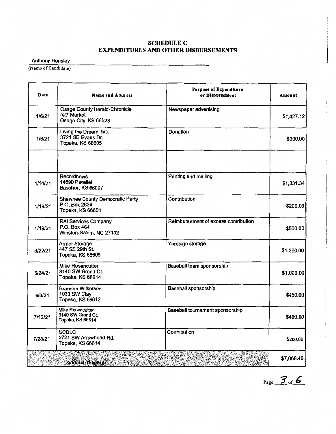## **SCHEDULE C EXPENDITURES AND OTHER DISBURSEMENTS**

Anthony Hensley

(Name of Candidate)

| Date    | <b>Name and Address</b>                                              | <b>Purpose of Expenditure</b><br>or Disbursement | Amount     |
|---------|----------------------------------------------------------------------|--------------------------------------------------|------------|
| 1/6/21  | Osage County Herald-Chronicle<br>527 Market<br>Osage City, KS 66523  | Newspaper advertising                            | \$1,427.12 |
| 1/6/21  | Living the Dream, Inc.<br>3721 SE Evans Dr.<br>Topeka, KS 66605      | Donation                                         | \$300.00   |
| 1/14/21 | <b>Recordnews</b><br>14690 Parallel<br>Basehor, KS 66007             | Printing and mailing                             | \$1,331.34 |
| 1/19/21 | Shawnee County Democratic Party<br>P.O. Box 2634<br>Topeka, KS 66601 | Contribution                                     | \$200.00   |
| 1/19/21 | RAI Services Company<br>P.O. Box 464<br>Winston-Salem, NC 27102      | Reimbursement of excess contribution             | \$500,00   |
| 3/22/21 | Armor Storage<br>447 SE 29th St.<br>Topeka, KS 66605                 | Yardsign storage                                 | \$1,260.00 |
| 5/24/21 | Mike Rosencutter<br>3140 SW Grand Ct.<br>Topeka, KS 66614            | Baseball team sponsorship                        | \$1,000.00 |
| 6/6/21  | Brandon Wilkerson<br>1033 SW Clay<br>Topeka, KS 66612                | Baseball sponsorship                             | \$450.00   |
| 7/12/21 | <b>Mike Rosencutter</b><br>3140 SW Grand Ct.<br>Topeka, KS 66614     | Baseball tournament sponsorship                  | \$400.00   |
| 7/28/21 | <b>SCDLC</b><br>2721 SW Arrowhead Rd.<br>Topeka, KS 66614            | Contribution                                     | \$200.00   |
|         | Subtotal This Page                                                   |                                                  | \$7,068.46 |

Page  $3$  of **6**